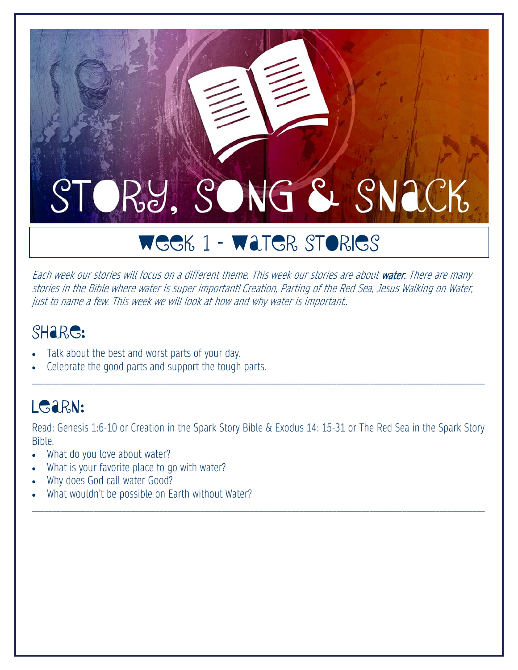# WEEK 1 – Water Stories

Each week our stories will focus on a different theme. This week our stories are about water. There are many stories in the Bible where water is super important! Creation, Parting of the Red Sea, Jesus Walking on Water, just to name a few. This week we will look at how and why water is important..

#### SHare:

- Talk about the best and worst parts of your day.
- Celebrate the good parts and support the tough parts.

#### LGARN:

Read: Genesis 1:6-10 or Creation in the Spark Story Bible & Exodus 14: 15-31 or The Red Sea in the Spark Story Bible.

\_\_\_\_\_\_\_\_\_\_\_\_\_\_\_\_\_\_\_\_\_\_\_\_\_\_\_\_\_\_\_\_\_\_\_\_\_\_\_\_\_\_\_\_\_\_\_\_\_\_\_\_\_\_\_\_\_\_\_\_\_\_\_\_\_\_\_\_\_\_\_\_\_\_\_\_\_\_\_\_\_\_\_\_\_\_\_\_\_\_\_\_\_\_\_\_\_\_\_\_\_\_\_\_\_\_\_\_\_\_

- What do you love about water?
- What is your favorite place to go with water?
- Why does God call water Good?
- What wouldn't be possible on Earth without Water?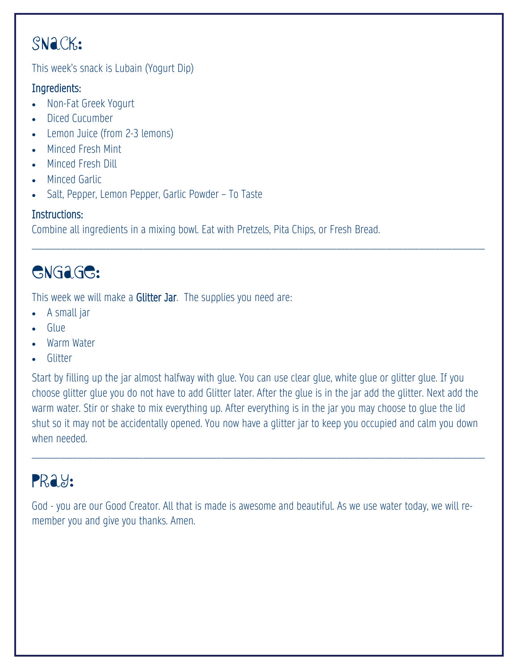This week's snack is Lubain (Yogurt Dip)

#### Ingredients:

- Non-Fat Greek Yogurt
- Diced Cucumber
- Lemon Juice (from 2-3 lemons)
- Minced Fresh Mint
- Minced Fresh Dill
- Minced Garlic
- Salt, Pepper, Lemon Pepper, Garlic Powder To Taste

#### Instructions:

Combine all ingredients in a mixing bowl. Eat with Pretzels, Pita Chips, or Fresh Bread.

## Engage:

This week we will make a Glitter Jar. The supplies you need are:

- A small jar
- Glue
- Warm Water
- Glitter

Start by filling up the jar almost halfway with glue. You can use clear glue, white glue or glitter glue. If you choose glitter glue you do not have to add Glitter later. After the glue is in the jar add the glitter. Next add the warm water. Stir or shake to mix everything up. After everything is in the jar you may choose to glue the lid shut so it may not be accidentally opened. You now have a glitter jar to keep you occupied and calm you down when needed.

\_\_\_\_\_\_\_\_\_\_\_\_\_\_\_\_\_\_\_\_\_\_\_\_\_\_\_\_\_\_\_\_\_\_\_\_\_\_\_\_\_\_\_\_\_\_\_\_\_\_\_\_\_\_\_\_\_\_\_\_\_\_\_\_\_\_\_\_\_\_\_\_\_\_\_\_\_\_\_\_\_\_\_\_\_\_\_\_\_\_\_\_\_\_\_\_\_\_\_\_\_\_\_\_\_\_\_\_\_\_

\_\_\_\_\_\_\_\_\_\_\_\_\_\_\_\_\_\_\_\_\_\_\_\_\_\_\_\_\_\_\_\_\_\_\_\_\_\_\_\_\_\_\_\_\_\_\_\_\_\_\_\_\_\_\_\_\_\_\_\_\_\_\_\_\_\_\_\_\_\_\_\_\_\_\_\_\_\_\_\_\_\_\_\_\_\_\_\_\_\_\_\_\_\_\_\_\_\_\_\_\_\_\_\_\_\_\_\_\_\_

#### PRay:

God - you are our Good Creator. All that is made is awesome and beautiful. As we use water today, we will remember you and give you thanks. Amen.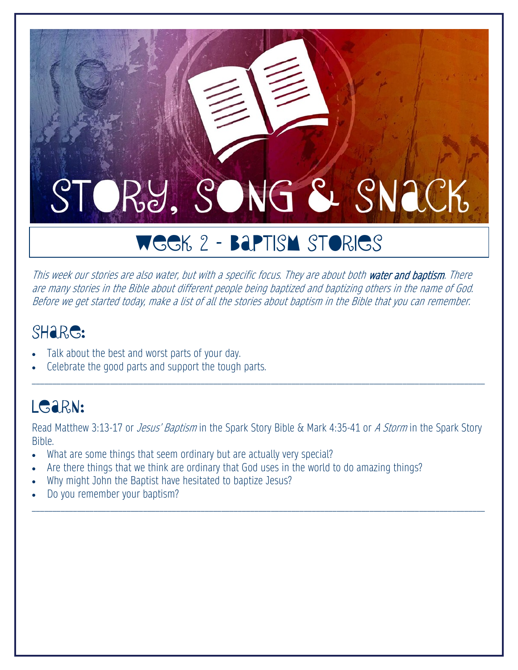# WEEK 2 – Baptism Stories

This week our stories are also water, but with a specific focus. They are about both water and baptism. There are many stories in the Bible about different people being baptized and baptizing others in the name of God. Before we get started today, make a list of all the stories about baptism in the Bible that you can remember.

#### SHare:

- Talk about the best and worst parts of your day.
- Celebrate the good parts and support the tough parts.

#### LGARN:

Read Matthew 3:13-17 or *Jesus' Baptism* in the Spark Story Bible & Mark 4:35-41 or A Storm in the Spark Story Bible.

\_\_\_\_\_\_\_\_\_\_\_\_\_\_\_\_\_\_\_\_\_\_\_\_\_\_\_\_\_\_\_\_\_\_\_\_\_\_\_\_\_\_\_\_\_\_\_\_\_\_\_\_\_\_\_\_\_\_\_\_\_\_\_\_\_\_\_\_\_\_\_\_\_\_\_\_\_\_\_\_\_\_\_\_\_\_\_\_\_\_\_\_\_\_\_\_\_\_\_\_\_\_\_\_\_\_\_\_\_\_

- What are some things that seem ordinary but are actually very special?
- Are there things that we think are ordinary that God uses in the world to do amazing things?
- Why might John the Baptist have hesitated to baptize Jesus?
- Do you remember your baptism?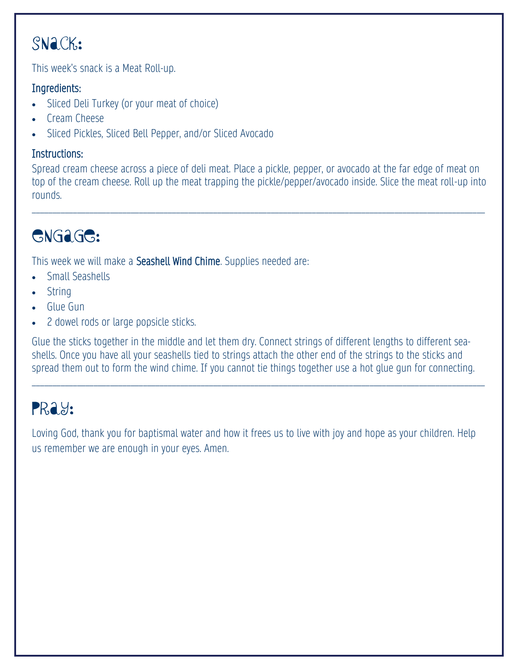This week's snack is a Meat Roll-up.

#### Ingredients:

- Sliced Deli Turkey (or your meat of choice)
- Cream Cheese
- Sliced Pickles, Sliced Bell Pepper, and/or Sliced Avocado

#### Instructions:

Spread cream cheese across a piece of deli meat. Place a pickle, pepper, or avocado at the far edge of meat on top of the cream cheese. Roll up the meat trapping the pickle/pepper/avocado inside. Slice the meat roll-up into rounds.

\_\_\_\_\_\_\_\_\_\_\_\_\_\_\_\_\_\_\_\_\_\_\_\_\_\_\_\_\_\_\_\_\_\_\_\_\_\_\_\_\_\_\_\_\_\_\_\_\_\_\_\_\_\_\_\_\_\_\_\_\_\_\_\_\_\_\_\_\_\_\_\_\_\_\_\_\_\_\_\_\_\_\_\_\_\_\_\_\_\_\_\_\_\_\_\_\_\_\_\_\_\_\_\_\_\_\_\_\_\_

## Engage:

This week we will make a Seashell Wind Chime. Supplies needed are:

- Small Seashells
- String
- Glue Gun
- 2 dowel rods or large popsicle sticks.

Glue the sticks together in the middle and let them dry. Connect strings of different lengths to different seashells. Once you have all your seashells tied to strings attach the other end of the strings to the sticks and spread them out to form the wind chime. If you cannot tie things together use a hot glue gun for connecting.

\_\_\_\_\_\_\_\_\_\_\_\_\_\_\_\_\_\_\_\_\_\_\_\_\_\_\_\_\_\_\_\_\_\_\_\_\_\_\_\_\_\_\_\_\_\_\_\_\_\_\_\_\_\_\_\_\_\_\_\_\_\_\_\_\_\_\_\_\_\_\_\_\_\_\_\_\_\_\_\_\_\_\_\_\_\_\_\_\_\_\_\_\_\_\_\_\_\_\_\_\_\_\_\_\_\_\_\_\_\_

#### PRay:

Loving God, thank you for baptismal water and how it frees us to live with joy and hope as your children. Help us remember we are enough in your eyes. Amen.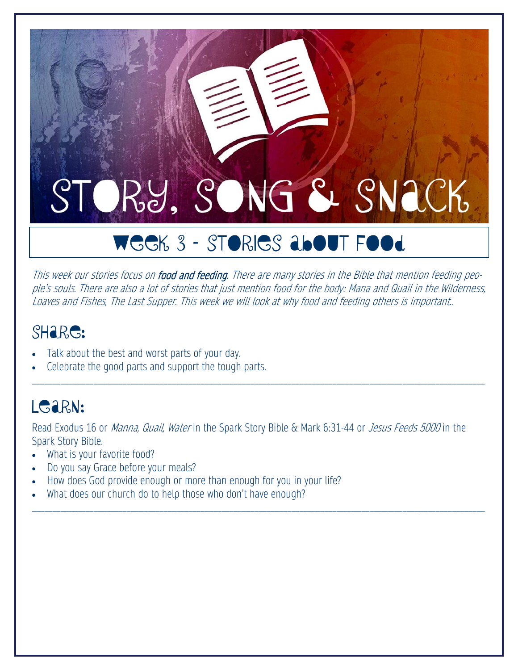# WEEK 3 - STORIES about Food

This week our stories focus on food and feeding. There are many stories in the Bible that mention feeding people's souls. There are also a lot of stories that just mention food for the body: Mana and Quail in the Wilderness, Loaves and Fishes, The Last Supper. This week we will look at why food and feeding others is important..

\_\_\_\_\_\_\_\_\_\_\_\_\_\_\_\_\_\_\_\_\_\_\_\_\_\_\_\_\_\_\_\_\_\_\_\_\_\_\_\_\_\_\_\_\_\_\_\_\_\_\_\_\_\_\_\_\_\_\_\_\_\_\_\_\_\_\_\_\_\_\_\_\_\_\_\_\_\_\_\_\_\_\_\_\_\_\_\_\_\_\_\_\_\_\_\_\_\_\_\_\_\_\_\_\_\_\_\_\_\_

#### SHare:

- Talk about the best and worst parts of your day.
- Celebrate the good parts and support the tough parts.

#### LGARN:

Read Exodus 16 or *Manna, Quail, Water* in the Spark Story Bible & Mark 6:31-44 or *Jesus Feeds 5000* in the Spark Story Bible.

- What is your favorite food?
- Do you say Grace before your meals?
- How does God provide enough or more than enough for you in your life?
- What does our church do to help those who don't have enough?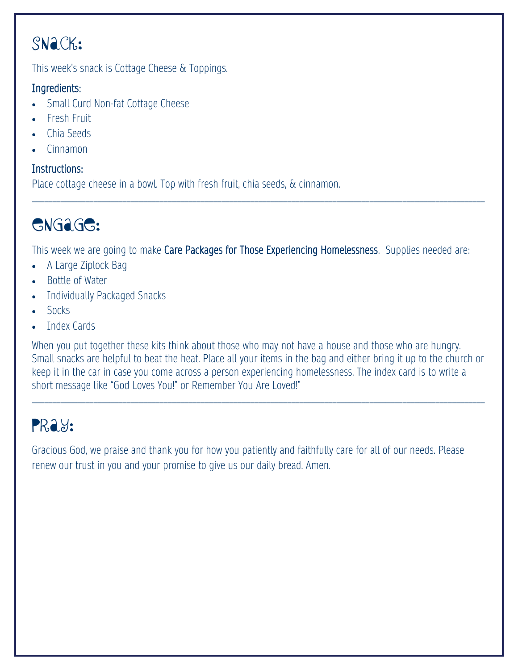This week's snack is Cottage Cheese & Toppings.

#### Ingredients:

- Small Curd Non-fat Cottage Cheese
- Fresh Fruit
- Chia Seeds
- Cinnamon

#### Instructions:

Place cottage cheese in a bowl. Top with fresh fruit, chia seeds, & cinnamon.

#### GNG<sub>aGG</sub>:

This week we are going to make Care Packages for Those Experiencing Homelessness. Supplies needed are:

\_\_\_\_\_\_\_\_\_\_\_\_\_\_\_\_\_\_\_\_\_\_\_\_\_\_\_\_\_\_\_\_\_\_\_\_\_\_\_\_\_\_\_\_\_\_\_\_\_\_\_\_\_\_\_\_\_\_\_\_\_\_\_\_\_\_\_\_\_\_\_\_\_\_\_\_\_\_\_\_\_\_\_\_\_\_\_\_\_\_\_\_\_\_\_\_\_\_\_\_\_\_\_\_\_\_\_\_\_\_

- A Large Ziplock Bag
- Bottle of Water
- Individually Packaged Snacks
- Socks
- Index Cards

When you put together these kits think about those who may not have a house and those who are hungry. Small snacks are helpful to beat the heat. Place all your items in the bag and either bring it up to the church or keep it in the car in case you come across a person experiencing homelessness. The index card is to write a short message like "God Loves You!" or Remember You Are Loved!"

\_\_\_\_\_\_\_\_\_\_\_\_\_\_\_\_\_\_\_\_\_\_\_\_\_\_\_\_\_\_\_\_\_\_\_\_\_\_\_\_\_\_\_\_\_\_\_\_\_\_\_\_\_\_\_\_\_\_\_\_\_\_\_\_\_\_\_\_\_\_\_\_\_\_\_\_\_\_\_\_\_\_\_\_\_\_\_\_\_\_\_\_\_\_\_\_\_\_\_\_\_\_\_\_\_\_\_\_\_\_

#### PRay:

Gracious God, we praise and thank you for how you patiently and faithfully care for all of our needs. Please renew our trust in you and your promise to give us our daily bread. Amen.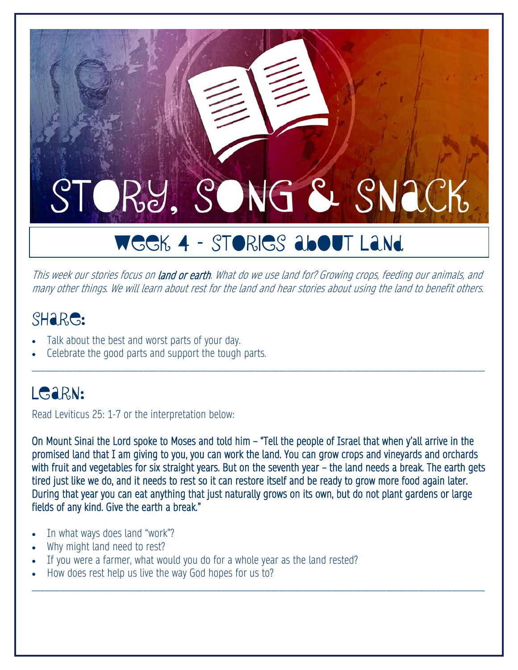# WEEK 4 – Stories about Land

This week our stories focus on land or earth. What do we use land for? Growing crops, feeding our animals, and many other things. We will learn about rest for the land and hear stories about using the land to benefit others.

\_\_\_\_\_\_\_\_\_\_\_\_\_\_\_\_\_\_\_\_\_\_\_\_\_\_\_\_\_\_\_\_\_\_\_\_\_\_\_\_\_\_\_\_\_\_\_\_\_\_\_\_\_\_\_\_\_\_\_\_\_\_\_\_\_\_\_\_\_\_\_\_\_\_\_\_\_\_\_\_\_\_\_\_\_\_\_\_\_\_\_\_\_\_\_\_\_\_\_\_\_\_\_\_\_\_\_\_\_\_

#### SHare:

- Talk about the best and worst parts of your day.
- Celebrate the good parts and support the tough parts.

#### LG<sub>aRN:</sub>

Read Leviticus 25: 1-7 or the interpretation below:

On Mount Sinai the Lord spoke to Moses and told him – "Tell the people of Israel that when y'all arrive in the promised land that I am giving to you, you can work the land. You can grow crops and vineyards and orchards with fruit and vegetables for six straight years. But on the seventh year – the land needs a break. The earth gets tired just like we do, and it needs to rest so it can restore itself and be ready to grow more food again later. During that year you can eat anything that just naturally grows on its own, but do not plant gardens or large fields of any kind. Give the earth a break."

- In what ways does land "work"?
- Why might land need to rest?
- If you were a farmer, what would you do for a whole year as the land rested?
- How does rest help us live the way God hopes for us to?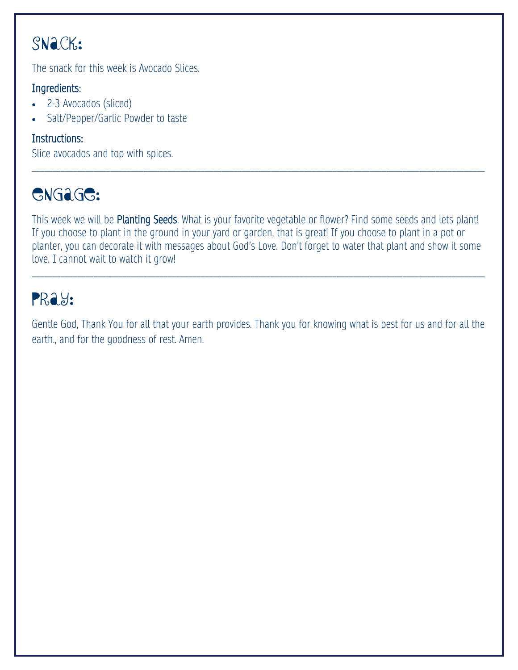The snack for this week is Avocado Slices.

#### Ingredients:

- 2-3 Avocados (sliced)
- Salt/Pepper/Garlic Powder to taste

#### Instructions:

Slice avocados and top with spices.

### Engage:

This week we will be Planting Seeds. What is your favorite vegetable or flower? Find some seeds and lets plant! If you choose to plant in the ground in your yard or garden, that is great! If you choose to plant in a pot or planter, you can decorate it with messages about God's Love. Don't forget to water that plant and show it some love. I cannot wait to watch it grow!

\_\_\_\_\_\_\_\_\_\_\_\_\_\_\_\_\_\_\_\_\_\_\_\_\_\_\_\_\_\_\_\_\_\_\_\_\_\_\_\_\_\_\_\_\_\_\_\_\_\_\_\_\_\_\_\_\_\_\_\_\_\_\_\_\_\_\_\_\_\_\_\_\_\_\_\_\_\_\_\_\_\_\_\_\_\_\_\_\_\_\_\_\_\_\_\_\_\_\_\_\_\_\_\_\_\_\_\_\_\_

\_\_\_\_\_\_\_\_\_\_\_\_\_\_\_\_\_\_\_\_\_\_\_\_\_\_\_\_\_\_\_\_\_\_\_\_\_\_\_\_\_\_\_\_\_\_\_\_\_\_\_\_\_\_\_\_\_\_\_\_\_\_\_\_\_\_\_\_\_\_\_\_\_\_\_\_\_\_\_\_\_\_\_\_\_\_\_\_\_\_\_\_\_\_\_\_\_\_\_\_\_\_\_\_\_\_\_\_\_\_

#### PRay:

Gentle God, Thank You for all that your earth provides. Thank you for knowing what is best for us and for all the earth., and for the goodness of rest. Amen.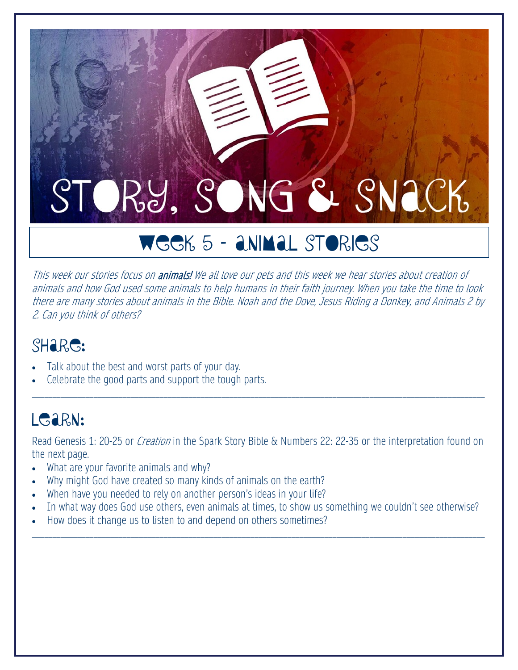# WEEK 5 – Animal Stories

This week our stories focus on animals! We all love our pets and this week we hear stories about creation of animals and how God used some animals to help humans in their faith journey. When you take the time to look there are many stories about animals in the Bible. Noah and the Dove, Jesus Riding a Donkey, and Animals 2 by 2. Can you think of others?

#### SH<sub>a</sub>R<sub>G</sub>:

- Talk about the best and worst parts of your day.
- Celebrate the good parts and support the tough parts.

#### LGARN:

Read Genesis 1: 20-25 or *Creation* in the Spark Story Bible & Numbers 22: 22-35 or the interpretation found on the next page.

\_\_\_\_\_\_\_\_\_\_\_\_\_\_\_\_\_\_\_\_\_\_\_\_\_\_\_\_\_\_\_\_\_\_\_\_\_\_\_\_\_\_\_\_\_\_\_\_\_\_\_\_\_\_\_\_\_\_\_\_\_\_\_\_\_\_\_\_\_\_\_\_\_\_\_\_\_\_\_\_\_\_\_\_\_\_\_\_\_\_\_\_\_\_\_\_\_\_\_\_\_\_\_\_\_\_\_\_\_\_

- What are your favorite animals and why?
- Why might God have created so many kinds of animals on the earth?
- When have you needed to rely on another person's ideas in your life?
- In what way does God use others, even animals at times, to show us something we couldn't see otherwise?

\_\_\_\_\_\_\_\_\_\_\_\_\_\_\_\_\_\_\_\_\_\_\_\_\_\_\_\_\_\_\_\_\_\_\_\_\_\_\_\_\_\_\_\_\_\_\_\_\_\_\_\_\_\_\_\_\_\_\_\_\_\_\_\_\_\_\_\_\_\_\_\_\_\_\_\_\_\_\_\_\_\_\_\_\_\_\_\_\_\_\_\_\_\_\_\_\_\_\_\_\_\_\_\_\_\_\_\_\_\_

• How does it change us to listen to and depend on others sometimes?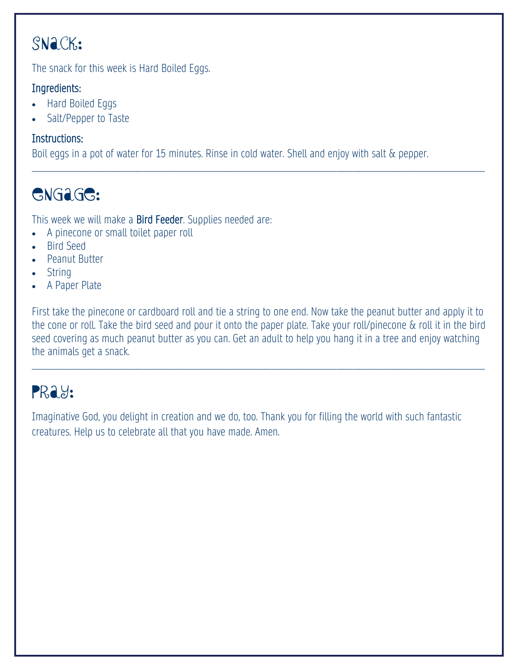The snack for this week is Hard Boiled Eggs.

#### Ingredients:

- Hard Boiled Eggs
- Salt/Pepper to Taste

#### Instructions:

Boil eggs in a pot of water for 15 minutes. Rinse in cold water. Shell and enjoy with salt & pepper.

\_\_\_\_\_\_\_\_\_\_\_\_\_\_\_\_\_\_\_\_\_\_\_\_\_\_\_\_\_\_\_\_\_\_\_\_\_\_\_\_\_\_\_\_\_\_\_\_\_\_\_\_\_\_\_\_\_\_\_\_\_\_\_\_\_\_\_\_\_\_\_\_\_\_\_\_\_\_\_\_\_\_\_\_\_\_\_\_\_\_\_\_\_\_\_\_\_\_\_\_\_\_\_\_\_\_\_\_\_\_

## Engage:

This week we will make a Bird Feeder. Supplies needed are:

- A pinecone or small toilet paper roll
- Bird Seed
- Peanut Butter
- String
- A Paper Plate

First take the pinecone or cardboard roll and tie a string to one end. Now take the peanut butter and apply it to the cone or roll. Take the bird seed and pour it onto the paper plate. Take your roll/pinecone & roll it in the bird seed covering as much peanut butter as you can. Get an adult to help you hang it in a tree and enjoy watching the animals get a snack.

\_\_\_\_\_\_\_\_\_\_\_\_\_\_\_\_\_\_\_\_\_\_\_\_\_\_\_\_\_\_\_\_\_\_\_\_\_\_\_\_\_\_\_\_\_\_\_\_\_\_\_\_\_\_\_\_\_\_\_\_\_\_\_\_\_\_\_\_\_\_\_\_\_\_\_\_\_\_\_\_\_\_\_\_\_\_\_\_\_\_\_\_\_\_\_\_\_\_\_\_\_\_\_\_\_\_\_\_\_\_

## PRay:

Imaginative God, you delight in creation and we do, too. Thank you for filling the world with such fantastic creatures. Help us to celebrate all that you have made. Amen.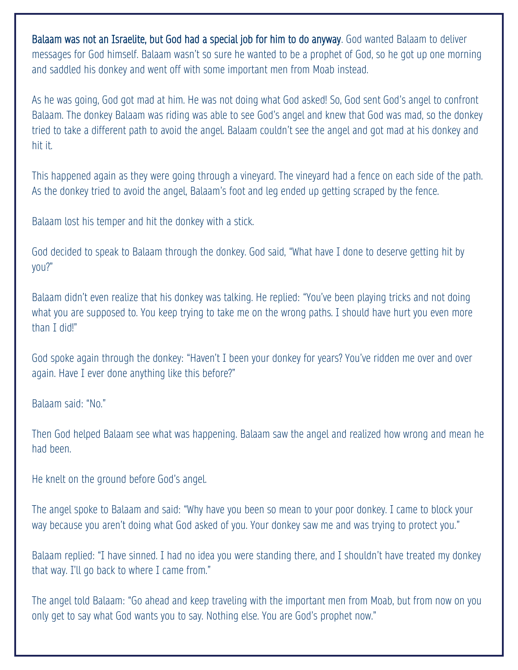Balaam was not an Israelite, but God had a special job for him to do anyway. God wanted Balaam to deliver messages for God himself. Balaam wasn't so sure he wanted to be a prophet of God, so he got up one morning and saddled his donkey and went off with some important men from Moab instead.

As he was going, God got mad at him. He was not doing what God asked! So, God sent God's angel to confront Balaam. The donkey Balaam was riding was able to see God's angel and knew that God was mad, so the donkey tried to take a different path to avoid the angel. Balaam couldn't see the angel and got mad at his donkey and hit it.

This happened again as they were going through a vineyard. The vineyard had a fence on each side of the path. As the donkey tried to avoid the angel, Balaam's foot and leg ended up getting scraped by the fence.

Balaam lost his temper and hit the donkey with a stick.

God decided to speak to Balaam through the donkey. God said, "What have I done to deserve getting hit by you?"

Balaam didn't even realize that his donkey was talking. He replied: "You've been playing tricks and not doing what you are supposed to. You keep trying to take me on the wrong paths. I should have hurt you even more than I did!"

God spoke again through the donkey: "Haven't I been your donkey for years? You've ridden me over and over again. Have I ever done anything like this before?"

Balaam said: "No."

Then God helped Balaam see what was happening. Balaam saw the angel and realized how wrong and mean he had been.

He knelt on the ground before God's angel.

The angel spoke to Balaam and said: "Why have you been so mean to your poor donkey. I came to block your way because you aren't doing what God asked of you. Your donkey saw me and was trying to protect you."

Balaam replied: "I have sinned. I had no idea you were standing there, and I shouldn't have treated my donkey that way. I'll go back to where I came from."

The angel told Balaam: "Go ahead and keep traveling with the important men from Moab, but from now on you only get to say what God wants you to say. Nothing else. You are God's prophet now."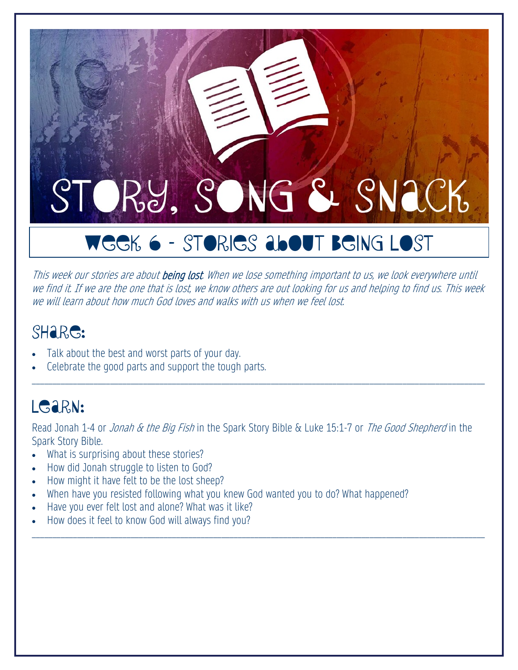# WEEK 6 – Stories About Being Lost

This week our stories are about **being lost**. When we lose something important to us, we look everywhere until we find it. If we are the one that is lost, we know others are out looking for us and helping to find us. This week we will learn about how much God loves and walks with us when we feel lost.

#### SHare:

- Talk about the best and worst parts of your day.
- Celebrate the good parts and support the tough parts.

#### LGARN:

Read Jonah 1-4 or *Jonah & the Big Fish* in the Spark Story Bible & Luke 15:1-7 or *The Good Shepherd* in the Spark Story Bible.

\_\_\_\_\_\_\_\_\_\_\_\_\_\_\_\_\_\_\_\_\_\_\_\_\_\_\_\_\_\_\_\_\_\_\_\_\_\_\_\_\_\_\_\_\_\_\_\_\_\_\_\_\_\_\_\_\_\_\_\_\_\_\_\_\_\_\_\_\_\_\_\_\_\_\_\_\_\_\_\_\_\_\_\_\_\_\_\_\_\_\_\_\_\_\_\_\_\_\_\_\_\_\_\_\_\_\_\_\_\_

- What is surprising about these stories?
- How did Jonah struggle to listen to God?
- How might it have felt to be the lost sheep?
- When have you resisted following what you knew God wanted you to do? What happened?
- Have you ever felt lost and alone? What was it like?
- How does it feel to know God will always find you?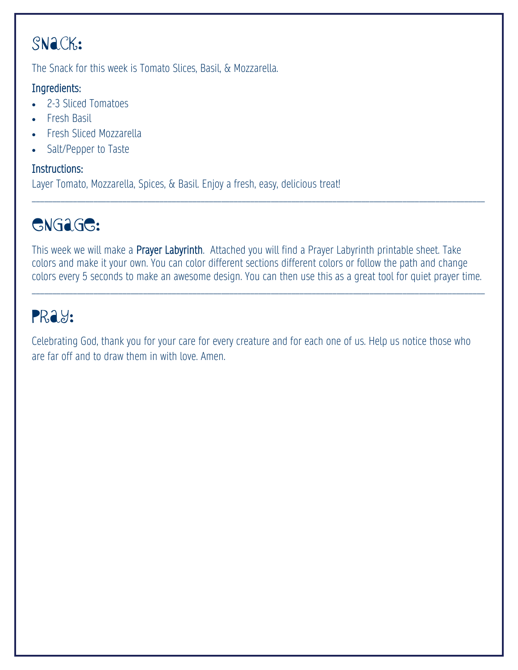The Snack for this week is Tomato Slices, Basil, & Mozzarella.

#### Ingredients:

- 2-3 Sliced Tomatoes
- Fresh Basil
- Fresh Sliced Mozzarella
- Salt/Pepper to Taste

#### Instructions:

Layer Tomato, Mozzarella, Spices, & Basil. Enjoy a fresh, easy, delicious treat!

## Engage:

This week we will make a Prayer Labyrinth. Attached you will find a Prayer Labyrinth printable sheet. Take colors and make it your own. You can color different sections different colors or follow the path and change colors every 5 seconds to make an awesome design. You can then use this as a great tool for quiet prayer time.

\_\_\_\_\_\_\_\_\_\_\_\_\_\_\_\_\_\_\_\_\_\_\_\_\_\_\_\_\_\_\_\_\_\_\_\_\_\_\_\_\_\_\_\_\_\_\_\_\_\_\_\_\_\_\_\_\_\_\_\_\_\_\_\_\_\_\_\_\_\_\_\_\_\_\_\_\_\_\_\_\_\_\_\_\_\_\_\_\_\_\_\_\_\_\_\_\_\_\_\_\_\_\_\_\_\_\_\_\_\_

\_\_\_\_\_\_\_\_\_\_\_\_\_\_\_\_\_\_\_\_\_\_\_\_\_\_\_\_\_\_\_\_\_\_\_\_\_\_\_\_\_\_\_\_\_\_\_\_\_\_\_\_\_\_\_\_\_\_\_\_\_\_\_\_\_\_\_\_\_\_\_\_\_\_\_\_\_\_\_\_\_\_\_\_\_\_\_\_\_\_\_\_\_\_\_\_\_\_\_\_\_\_\_\_\_\_\_\_\_\_

### PRay:

Celebrating God, thank you for your care for every creature and for each one of us. Help us notice those who are far off and to draw them in with love. Amen.